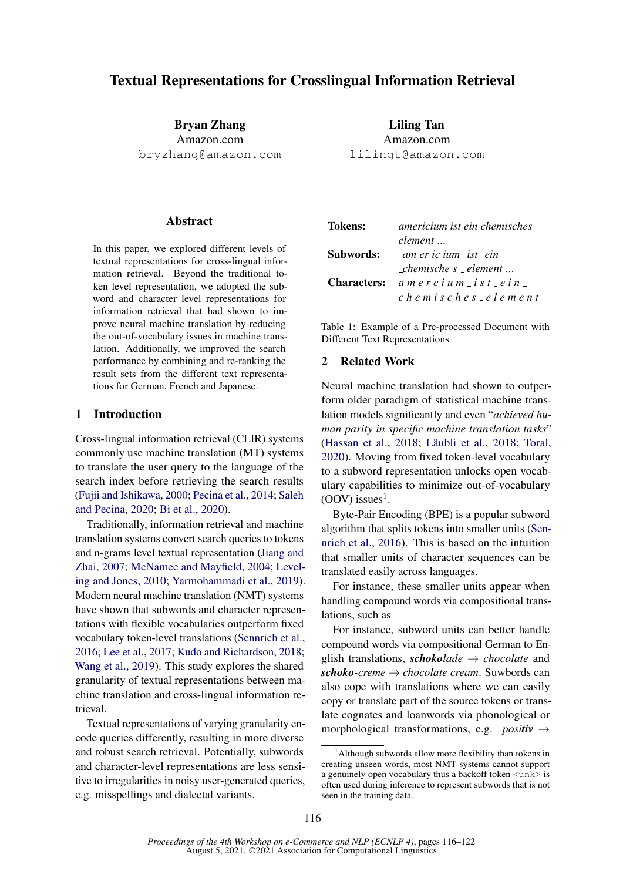# Textual Representations for Crosslingual Information Retrieval

Bryan Zhang Amazon.com bryzhang@amazon.com

#### **Abstract**

In this paper, we explored different levels of textual representations for cross-lingual information retrieval. Beyond the traditional token level representation, we adopted the subword and character level representations for information retrieval that had shown to improve neural machine translation by reducing the out-of-vocabulary issues in machine translation. Additionally, we improved the search performance by combining and re-ranking the result sets from the different text representations for German, French and Japanese.

# 1 Introduction

Cross-lingual information retrieval (CLIR) systems commonly use machine translation (MT) systems to translate the user query to the language of the search index before retrieving the search results [\(Fujii and Ishikawa,](#page-5-0) [2000;](#page-5-0) [Pecina et al.,](#page-5-1) [2014;](#page-5-1) [Saleh](#page-5-2) [and Pecina,](#page-5-2) [2020;](#page-5-2) [Bi et al.,](#page-5-3) [2020\)](#page-5-3).

Traditionally, information retrieval and machine translation systems convert search queries to tokens and n-grams level textual representation [\(Jiang and](#page-5-4) [Zhai,](#page-5-4) [2007;](#page-5-4) [McNamee and Mayfield,](#page-5-5) [2004;](#page-5-5) [Level](#page-5-6)[ing and Jones,](#page-5-6) [2010;](#page-5-6) [Yarmohammadi et al.,](#page-6-0) [2019\)](#page-6-0). Modern neural machine translation (NMT) systems have shown that subwords and character representations with flexible vocabularies outperform fixed vocabulary token-level translations [\(Sennrich et al.,](#page-6-1) [2016;](#page-6-1) [Lee et al.,](#page-5-7) [2017;](#page-5-7) [Kudo and Richardson,](#page-5-8) [2018;](#page-5-8) [Wang et al.,](#page-6-2) [2019\)](#page-6-2). This study explores the shared granularity of textual representations between machine translation and cross-lingual information retrieval.

Textual representations of varying granularity encode queries differently, resulting in more diverse and robust search retrieval. Potentially, subwords and character-level representations are less sensitive to irregularities in noisy user-generated queries, e.g. misspellings and dialectal variants.

Liling Tan Amazon.com lilingt@amazon.com

| Tokens:   | americium ist ein chemisches                                  |  |  |
|-----------|---------------------------------------------------------------|--|--|
|           | element                                                       |  |  |
| Subwords: | am er ic ium ist ein                                          |  |  |
|           | $\mathcal{L}$ chemische s $\mathcal{L}$ element $\mathcal{L}$ |  |  |
|           | <b>Characters:</b> $a$ m e r c i u m _ i s t _ e i n _        |  |  |
|           | chemisches_element                                            |  |  |

Table 1: Example of a Pre-processed Document with Different Text Representations

# 2 Related Work

Neural machine translation had shown to outperform older paradigm of statistical machine translation models significantly and even "*achieved human parity in specific machine translation tasks*" [\(Hassan et al.,](#page-5-9) [2018;](#page-5-10) Läubli et al., 2018; [Toral,](#page-6-3) [2020\)](#page-6-3). Moving from fixed token-level vocabulary to a subword representation unlocks open vocabulary capabilities to minimize out-of-vocabulary  $(OOV)$  issues<sup>[1](#page-0-0)</sup>.

Byte-Pair Encoding (BPE) is a popular subword algorithm that splits tokens into smaller units [\(Sen](#page-6-1)[nrich et al.,](#page-6-1) [2016\)](#page-6-1). This is based on the intuition that smaller units of character sequences can be translated easily across languages.

For instance, these smaller units appear when handling compound words via compositional translations, such as

For instance, subword units can better handle compound words via compositional German to English translations, *schokolade* → *chocolate* and *schoko-creme* → *chocolate cream*. Suwbords can also cope with translations where we can easily copy or translate part of the source tokens or translate cognates and loanwords via phonological or morphological transformations, e.g. *positiv*  $\rightarrow$ 

<span id="page-0-0"></span><sup>&</sup>lt;sup>1</sup>Although subwords allow more flexibility than tokens in creating unseen words, most NMT systems cannot support a genuinely open vocabulary thus a backoff token  $\langle \text{unk} \rangle$  is often used during inference to represent subwords that is not seen in the training data.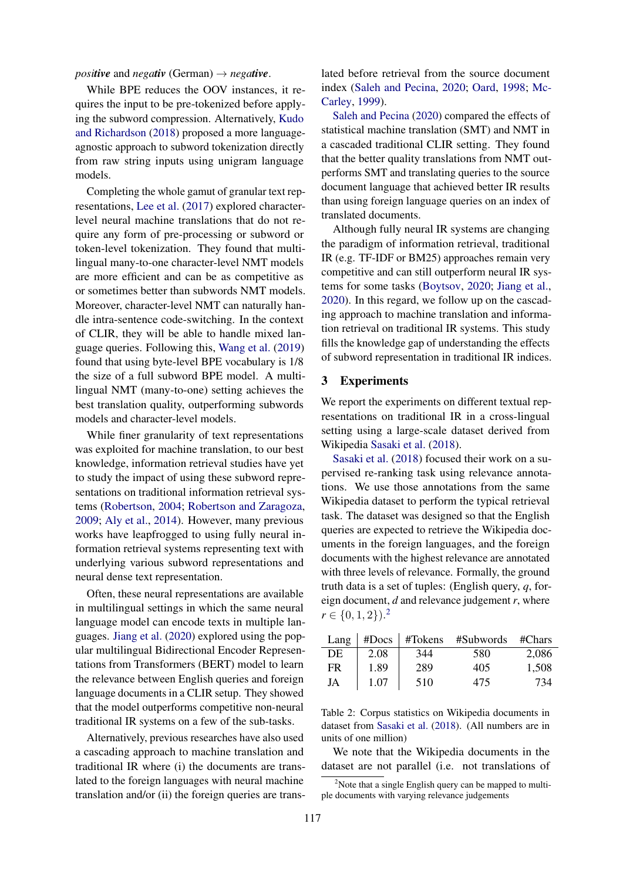*positive* and *negativ* (German)  $\rightarrow$  *negative*.

While BPE reduces the OOV instances, it requires the input to be pre-tokenized before applying the subword compression. Alternatively, [Kudo](#page-5-8) [and Richardson](#page-5-8) [\(2018\)](#page-5-8) proposed a more languageagnostic approach to subword tokenization directly from raw string inputs using unigram language models.

Completing the whole gamut of granular text representations, [Lee et al.](#page-5-7) [\(2017\)](#page-5-7) explored characterlevel neural machine translations that do not require any form of pre-processing or subword or token-level tokenization. They found that multilingual many-to-one character-level NMT models are more efficient and can be as competitive as or sometimes better than subwords NMT models. Moreover, character-level NMT can naturally handle intra-sentence code-switching. In the context of CLIR, they will be able to handle mixed language queries. Following this, [Wang et al.](#page-6-2) [\(2019\)](#page-6-2) found that using byte-level BPE vocabulary is 1/8 the size of a full subword BPE model. A multilingual NMT (many-to-one) setting achieves the best translation quality, outperforming subwords models and character-level models.

While finer granularity of text representations was exploited for machine translation, to our best knowledge, information retrieval studies have yet to study the impact of using these subword representations on traditional information retrieval systems [\(Robertson,](#page-5-11) [2004;](#page-5-11) [Robertson and Zaragoza,](#page-5-12) [2009;](#page-5-12) [Aly et al.,](#page-5-13) [2014\)](#page-5-13). However, many previous works have leapfrogged to using fully neural information retrieval systems representing text with underlying various subword representations and neural dense text representation.

Often, these neural representations are available in multilingual settings in which the same neural language model can encode texts in multiple languages. [Jiang et al.](#page-5-14) [\(2020\)](#page-5-14) explored using the popular multilingual Bidirectional Encoder Representations from Transformers (BERT) model to learn the relevance between English queries and foreign language documents in a CLIR setup. They showed that the model outperforms competitive non-neural traditional IR systems on a few of the sub-tasks.

Alternatively, previous researches have also used a cascading approach to machine translation and traditional IR where (i) the documents are translated to the foreign languages with neural machine translation and/or (ii) the foreign queries are trans-

lated before retrieval from the source document index [\(Saleh and Pecina,](#page-5-2) [2020;](#page-5-2) [Oard,](#page-5-15) [1998;](#page-5-15) [Mc-](#page-5-16)[Carley,](#page-5-16) [1999\)](#page-5-16).

[Saleh and Pecina](#page-5-2) [\(2020\)](#page-5-2) compared the effects of statistical machine translation (SMT) and NMT in a cascaded traditional CLIR setting. They found that the better quality translations from NMT outperforms SMT and translating queries to the source document language that achieved better IR results than using foreign language queries on an index of translated documents.

Although fully neural IR systems are changing the paradigm of information retrieval, traditional IR (e.g. TF-IDF or BM25) approaches remain very competitive and can still outperform neural IR systems for some tasks [\(Boytsov,](#page-5-17) [2020;](#page-5-17) [Jiang et al.,](#page-5-14) [2020\)](#page-5-14). In this regard, we follow up on the cascading approach to machine translation and information retrieval on traditional IR systems. This study fills the knowledge gap of understanding the effects of subword representation in traditional IR indices.

#### 3 Experiments

We report the experiments on different textual representations on traditional IR in a cross-lingual setting using a large-scale dataset derived from Wikipedia [Sasaki et al.](#page-6-4) [\(2018\)](#page-6-4).

[Sasaki et al.](#page-6-4) [\(2018\)](#page-6-4) focused their work on a supervised re-ranking task using relevance annotations. We use those annotations from the same Wikipedia dataset to perform the typical retrieval task. The dataset was designed so that the English queries are expected to retrieve the Wikipedia documents in the foreign languages, and the foreign documents with the highest relevance are annotated with three levels of relevance. Formally, the ground truth data is a set of tuples: (English query, *q*, foreign document, *d* and relevance judgement *r*, where  $r \in \{0, 1, 2\}$  $r \in \{0, 1, 2\}$  $r \in \{0, 1, 2\}$ .<sup>2</sup>

| Lang | # $\bf{D}ocs$ | #Tokens | #Subwords | $\#Chars$ |
|------|---------------|---------|-----------|-----------|
| DE   | 2.08          | 344     | 580       | 2.086     |
| FR   | 1.89          | 289     | 405       | 1.508     |
| JA   | 1.07          | 510     | 475       | 734       |

Table 2: Corpus statistics on Wikipedia documents in dataset from [Sasaki et al.](#page-6-4) [\(2018\)](#page-6-4). (All numbers are in units of one million)

We note that the Wikipedia documents in the dataset are not parallel (i.e. not translations of

<span id="page-1-0"></span> $2^2$ Note that a single English query can be mapped to multiple documents with varying relevance judgements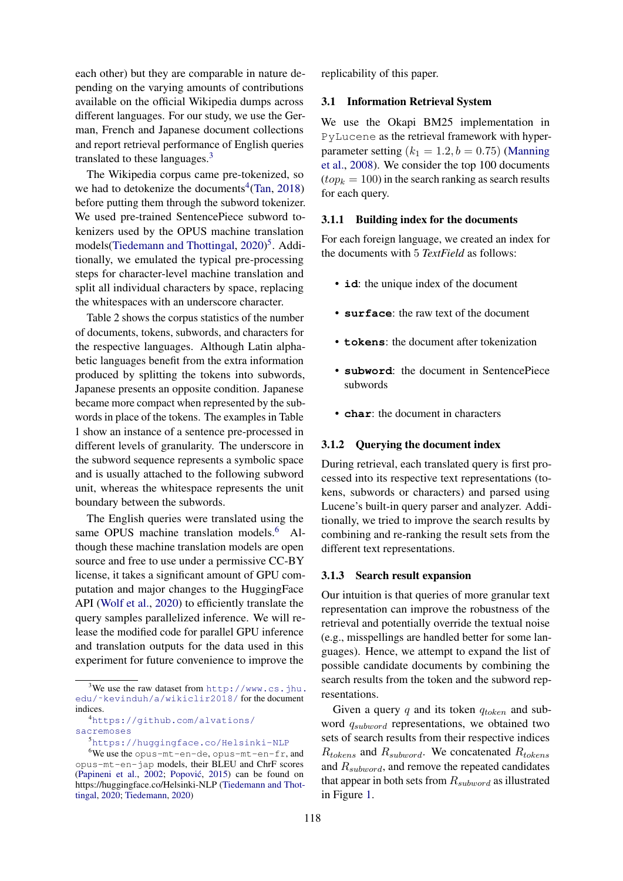each other) but they are comparable in nature depending on the varying amounts of contributions available on the official Wikipedia dumps across different languages. For our study, we use the German, French and Japanese document collections and report retrieval performance of English queries translated to these languages. $3$ 

The Wikipedia corpus came pre-tokenized, so we had to detokenize the documents<sup>[4](#page-2-1)</sup> [\(Tan,](#page-6-5) [2018\)](#page-6-5) before putting them through the subword tokenizer. We used pre-trained SentencePiece subword tokenizers used by the OPUS machine translation models[\(Tiedemann and Thottingal,](#page-6-6) [2020\)](#page-6-6) [5](#page-2-2) . Additionally, we emulated the typical pre-processing steps for character-level machine translation and split all individual characters by space, replacing the whitespaces with an underscore character.

Table 2 shows the corpus statistics of the number of documents, tokens, subwords, and characters for the respective languages. Although Latin alphabetic languages benefit from the extra information produced by splitting the tokens into subwords, Japanese presents an opposite condition. Japanese became more compact when represented by the subwords in place of the tokens. The examples in Table 1 show an instance of a sentence pre-processed in different levels of granularity. The underscore in the subword sequence represents a symbolic space and is usually attached to the following subword unit, whereas the whitespace represents the unit boundary between the subwords.

The English queries were translated using the same OPUS machine translation models.<sup>[6](#page-2-3)</sup> Although these machine translation models are open source and free to use under a permissive CC-BY license, it takes a significant amount of GPU computation and major changes to the HuggingFace API [\(Wolf et al.,](#page-6-7) [2020\)](#page-6-7) to efficiently translate the query samples parallelized inference. We will release the modified code for parallel GPU inference and translation outputs for the data used in this experiment for future convenience to improve the

<span id="page-2-0"></span> $3$ We use the raw dataset from [http://www.cs.jhu.](http://www.cs.jhu.edu/~kevinduh/a/wikiclir2018/) [edu/˜kevinduh/a/wikiclir2018/](http://www.cs.jhu.edu/~kevinduh/a/wikiclir2018/) for the document indices.

<span id="page-2-1"></span><sup>4</sup>[https://github.com/alvations/](https://github.com/alvations/sacremoses) [sacremoses](https://github.com/alvations/sacremoses)

<span id="page-2-3"></span><span id="page-2-2"></span><sup>5</sup><https://huggingface.co/Helsinki-NLP>

replicability of this paper.

### 3.1 Information Retrieval System

We use the Okapi BM25 implementation in PyLucene as the retrieval framework with hyperparameter setting  $(k_1 = 1.2, b = 0.75)$  [\(Manning](#page-5-20) [et al.,](#page-5-20) [2008\)](#page-5-20). We consider the top 100 documents  $(top_k = 100)$  in the search ranking as search results for each query.

#### 3.1.1 Building index for the documents

For each foreign language, we created an index for the documents with 5 *TextField* as follows:

- **id**: the unique index of the document
- **surface**: the raw text of the document
- **tokens**: the document after tokenization
- **subword**: the document in SentencePiece subwords
- **char**: the document in characters

### 3.1.2 Querying the document index

During retrieval, each translated query is first processed into its respective text representations (tokens, subwords or characters) and parsed using Lucene's built-in query parser and analyzer. Additionally, we tried to improve the search results by combining and re-ranking the result sets from the different text representations.

#### 3.1.3 Search result expansion

Our intuition is that queries of more granular text representation can improve the robustness of the retrieval and potentially override the textual noise (e.g., misspellings are handled better for some languages). Hence, we attempt to expand the list of possible candidate documents by combining the search results from the token and the subword representations.

Given a query  $q$  and its token  $q_{token}$  and subword  $q_{subword}$  representations, we obtained two sets of search results from their respective indices  $R_{tokens}$  and  $R_{subword}$ . We concatenated  $R_{tokens}$ and  $R_{subword}$ , and remove the repeated candidates that appear in both sets from  $R_{subword}$  as illustrated in Figure [1.](#page-3-0)

 $6$ We use the opus-mt-en-de, opus-mt-en-fr, and opus-mt-en-jap models, their BLEU and ChrF scores [\(Papineni et al.,](#page-5-18) [2002;](#page-5-18) Popović, [2015\)](#page-5-19) can be found on https://huggingface.co/Helsinki-NLP [\(Tiedemann and Thot](#page-6-6)[tingal,](#page-6-6) [2020;](#page-6-6) [Tiedemann,](#page-6-8) [2020\)](#page-6-8)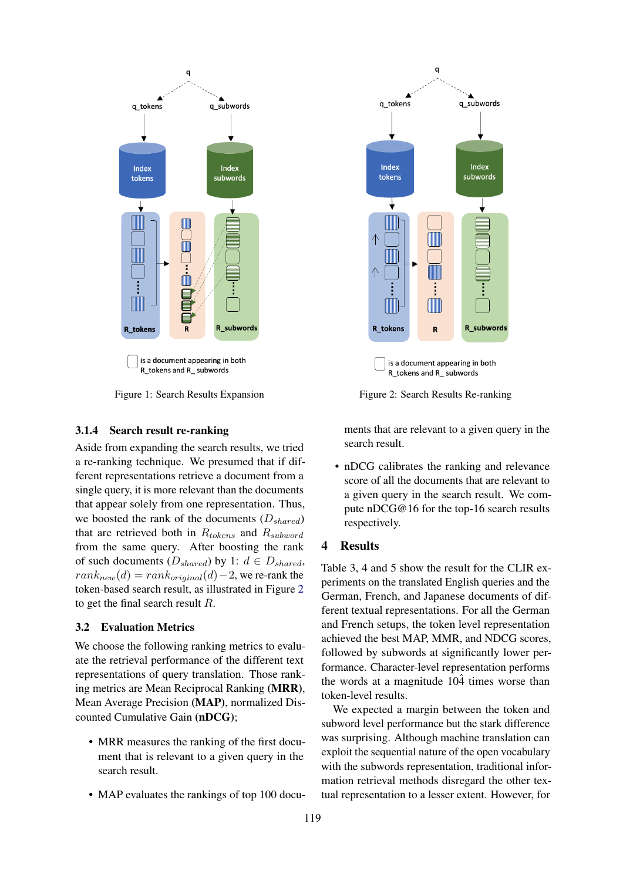<span id="page-3-0"></span>

Figure 1: Search Results Expansion

### 3.1.4 Search result re-ranking

Aside from expanding the search results, we tried a re-ranking technique. We presumed that if different representations retrieve a document from a single query, it is more relevant than the documents that appear solely from one representation. Thus, we boosted the rank of the documents  $(D_{shared})$ that are retrieved both in  $R_{tokens}$  and  $R_{subword}$ from the same query. After boosting the rank of such documents  $(D_{shared})$  by 1:  $d \in D_{shared}$ ,  $rank_{new}(d) = rank_{original}(d) - 2$ , we re-rank the token-based search result, as illustrated in Figure [2](#page-3-1) to get the final search result R.

# 3.2 Evaluation Metrics

We choose the following ranking metrics to evaluate the retrieval performance of the different text representations of query translation. Those ranking metrics are Mean Reciprocal Ranking (MRR), Mean Average Precision (MAP), normalized Discounted Cumulative Gain (nDCG);

- MRR measures the ranking of the first document that is relevant to a given query in the search result.
- MAP evaluates the rankings of top 100 docu-

<span id="page-3-1"></span>

Figure 2: Search Results Re-ranking

ments that are relevant to a given query in the search result.

• nDCG calibrates the ranking and relevance score of all the documents that are relevant to a given query in the search result. We compute nDCG@16 for the top-16 search results respectively.

### 4 Results

Table 3, 4 and 5 show the result for the CLIR experiments on the translated English queries and the German, French, and Japanese documents of different textual representations. For all the German and French setups, the token level representation achieved the best MAP, MMR, and NDCG scores, followed by subwords at significantly lower performance. Character-level representation performs the words at a magnitude  $10\hat{4}$  times worse than token-level results.

We expected a margin between the token and subword level performance but the stark difference was surprising. Although machine translation can exploit the sequential nature of the open vocabulary with the subwords representation, traditional information retrieval methods disregard the other textual representation to a lesser extent. However, for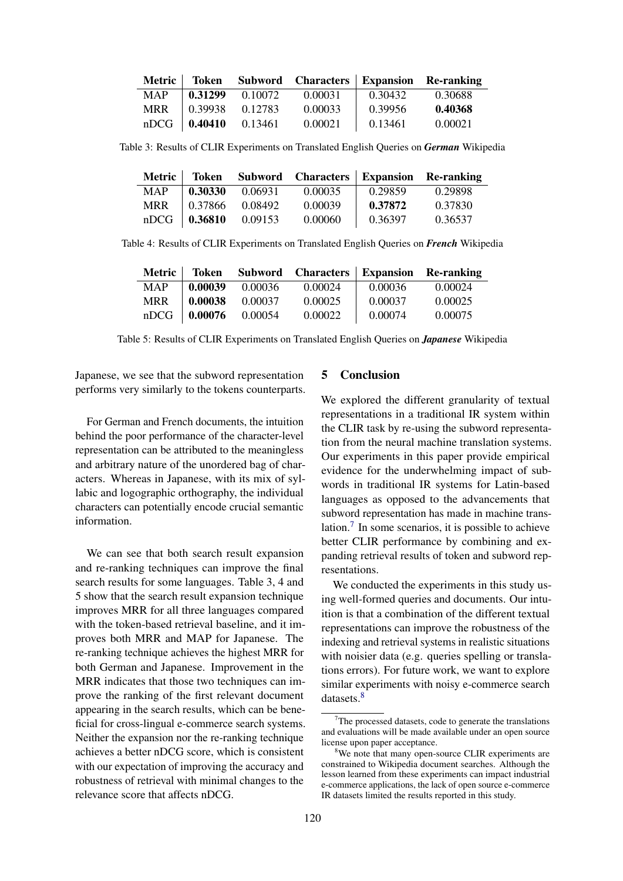| Metric     | Token   |         | Subword Characters Expansion Re-ranking |         |         |
|------------|---------|---------|-----------------------------------------|---------|---------|
| <b>MAP</b> | 0.31299 | 0.10072 | 0.00031                                 | 0.30432 | 0.30688 |
| <b>MRR</b> | 0.39938 | 0.12783 | 0.00033                                 | 0.39956 | 0.40368 |
| nDCG       | 0.40410 | 0.13461 | 0.00021                                 | 0.13461 | 0.00021 |

Table 3: Results of CLIR Experiments on Translated English Queries on *German* Wikipedia

|            | Metric Token                                      |         | Subword Characters Expansion Re-ranking |         |         |
|------------|---------------------------------------------------|---------|-----------------------------------------|---------|---------|
| <b>MAP</b> | 0.30330                                           | 0.06931 | 0.00035                                 | 0.29859 | 0.29898 |
| <b>MRR</b> | $\begin{array}{ c} 0.37866 & 0.08492 \end{array}$ |         | 0.00039                                 | 0.37872 | 0.37830 |
|            | $nDCG$   0.36810                                  | 0.09153 | 0.00060                                 | 0.36397 | 0.36537 |

Table 4: Results of CLIR Experiments on Translated English Queries on *French* Wikipedia

| Metric     | <b>Token</b>       |         | Subword Characters Expansion Re-ranking |         |         |
|------------|--------------------|---------|-----------------------------------------|---------|---------|
| <b>MAP</b> | 0.00039            | 0.00036 | 0.00024                                 | 0.00036 | 0.00024 |
| <b>MRR</b> | 0.00038            | 0.00037 | 0.00025                                 | 0.00037 | 0.00025 |
|            | $nDCG$   $0.00076$ | 0.00054 | 0.00022                                 | 0.00074 | 0.00075 |

Table 5: Results of CLIR Experiments on Translated English Queries on *Japanese* Wikipedia

Japanese, we see that the subword representation performs very similarly to the tokens counterparts.

For German and French documents, the intuition behind the poor performance of the character-level representation can be attributed to the meaningless and arbitrary nature of the unordered bag of characters. Whereas in Japanese, with its mix of syllabic and logographic orthography, the individual characters can potentially encode crucial semantic information.

We can see that both search result expansion and re-ranking techniques can improve the final search results for some languages. Table 3, 4 and 5 show that the search result expansion technique improves MRR for all three languages compared with the token-based retrieval baseline, and it improves both MRR and MAP for Japanese. The re-ranking technique achieves the highest MRR for both German and Japanese. Improvement in the MRR indicates that those two techniques can improve the ranking of the first relevant document appearing in the search results, which can be beneficial for cross-lingual e-commerce search systems. Neither the expansion nor the re-ranking technique achieves a better nDCG score, which is consistent with our expectation of improving the accuracy and robustness of retrieval with minimal changes to the relevance score that affects nDCG.

# 5 Conclusion

We explored the different granularity of textual representations in a traditional IR system within the CLIR task by re-using the subword representation from the neural machine translation systems. Our experiments in this paper provide empirical evidence for the underwhelming impact of subwords in traditional IR systems for Latin-based languages as opposed to the advancements that subword representation has made in machine translation. $\frac{7}{1}$  $\frac{7}{1}$  $\frac{7}{1}$  In some scenarios, it is possible to achieve better CLIR performance by combining and expanding retrieval results of token and subword representations.

We conducted the experiments in this study using well-formed queries and documents. Our intuition is that a combination of the different textual representations can improve the robustness of the indexing and retrieval systems in realistic situations with noisier data (e.g. queries spelling or translations errors). For future work, we want to explore similar experiments with noisy e-commerce search datasets.<sup>[8](#page-4-1)</sup>

<span id="page-4-0"></span> $7$ The processed datasets, code to generate the translations and evaluations will be made available under an open source license upon paper acceptance.

<span id="page-4-1"></span><sup>&</sup>lt;sup>8</sup>We note that many open-source CLIR experiments are constrained to Wikipedia document searches. Although the lesson learned from these experiments can impact industrial e-commerce applications, the lack of open source e-commerce IR datasets limited the results reported in this study.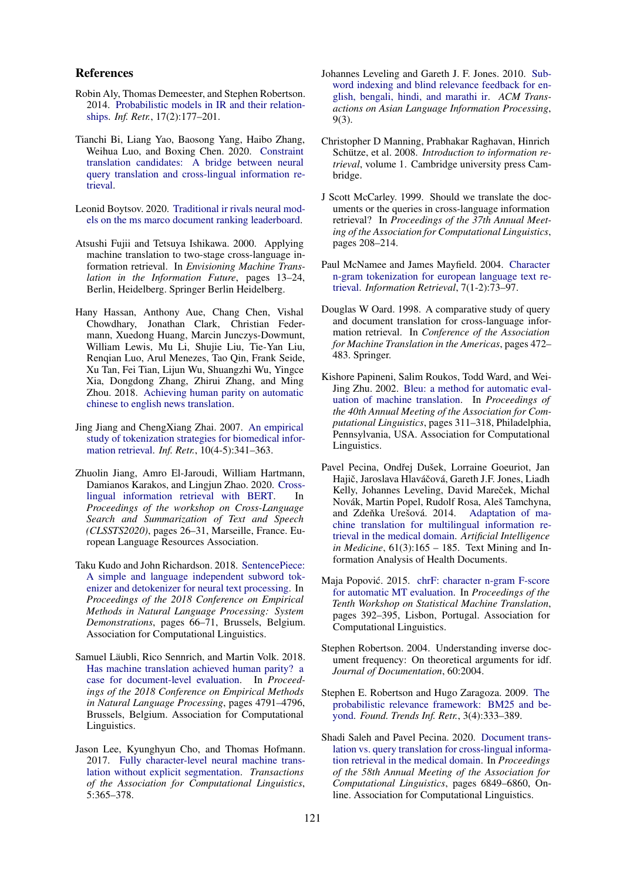#### References

- <span id="page-5-13"></span>Robin Aly, Thomas Demeester, and Stephen Robertson. 2014. [Probabilistic models in IR and their relation](https://doi.org/10.1007/s10791-013-9226-3)[ships.](https://doi.org/10.1007/s10791-013-9226-3) *Inf. Retr.*, 17(2):177–201.
- <span id="page-5-3"></span>Tianchi Bi, Liang Yao, Baosong Yang, Haibo Zhang, Weihua Luo, and Boxing Chen. 2020. [Constraint](http://arxiv.org/abs/2010.13658) [translation candidates: A bridge between neural](http://arxiv.org/abs/2010.13658) [query translation and cross-lingual information re](http://arxiv.org/abs/2010.13658)[trieval.](http://arxiv.org/abs/2010.13658)
- <span id="page-5-17"></span>Leonid Boytsov. 2020. [Traditional ir rivals neural mod](http://arxiv.org/abs/2012.08020)[els on the ms marco document ranking leaderboard.](http://arxiv.org/abs/2012.08020)
- <span id="page-5-0"></span>Atsushi Fujii and Tetsuya Ishikawa. 2000. Applying machine translation to two-stage cross-language information retrieval. In *Envisioning Machine Translation in the Information Future*, pages 13–24, Berlin, Heidelberg. Springer Berlin Heidelberg.
- <span id="page-5-9"></span>Hany Hassan, Anthony Aue, Chang Chen, Vishal Chowdhary, Jonathan Clark, Christian Federmann, Xuedong Huang, Marcin Junczys-Dowmunt, William Lewis, Mu Li, Shujie Liu, Tie-Yan Liu, Renqian Luo, Arul Menezes, Tao Qin, Frank Seide, Xu Tan, Fei Tian, Lijun Wu, Shuangzhi Wu, Yingce Xia, Dongdong Zhang, Zhirui Zhang, and Ming Zhou. 2018. [Achieving human parity on automatic](http://arxiv.org/abs/1803.05567) [chinese to english news translation.](http://arxiv.org/abs/1803.05567)
- <span id="page-5-4"></span>Jing Jiang and ChengXiang Zhai. 2007. [An empirical](https://doi.org/10.1007/s10791-007-9027-7) [study of tokenization strategies for biomedical infor](https://doi.org/10.1007/s10791-007-9027-7)[mation retrieval.](https://doi.org/10.1007/s10791-007-9027-7) *Inf. Retr.*, 10(4-5):341–363.
- <span id="page-5-14"></span>Zhuolin Jiang, Amro El-Jaroudi, William Hartmann, Damianos Karakos, and Lingjun Zhao. 2020. [Cross](https://www.aclweb.org/anthology/2020.clssts-1.5)[lingual information retrieval with BERT.](https://www.aclweb.org/anthology/2020.clssts-1.5) In *Proceedings of the workshop on Cross-Language Search and Summarization of Text and Speech (CLSSTS2020)*, pages 26–31, Marseille, France. European Language Resources Association.
- <span id="page-5-8"></span>Taku Kudo and John Richardson. 2018. [SentencePiece:](https://doi.org/10.18653/v1/D18-2012) [A simple and language independent subword tok](https://doi.org/10.18653/v1/D18-2012)[enizer and detokenizer for neural text processing.](https://doi.org/10.18653/v1/D18-2012) In *Proceedings of the 2018 Conference on Empirical Methods in Natural Language Processing: System Demonstrations*, pages 66–71, Brussels, Belgium. Association for Computational Linguistics.
- <span id="page-5-10"></span>Samuel Läubli, Rico Sennrich, and Martin Volk. 2018. [Has machine translation achieved human parity? a](https://doi.org/10.18653/v1/D18-1512) [case for document-level evaluation.](https://doi.org/10.18653/v1/D18-1512) In *Proceedings of the 2018 Conference on Empirical Methods in Natural Language Processing*, pages 4791–4796, Brussels, Belgium. Association for Computational Linguistics.
- <span id="page-5-7"></span>Jason Lee, Kyunghyun Cho, and Thomas Hofmann. 2017. [Fully character-level neural machine trans](https://doi.org/10.1162/tacl_a_00067)[lation without explicit segmentation.](https://doi.org/10.1162/tacl_a_00067) *Transactions of the Association for Computational Linguistics*, 5:365–378.
- <span id="page-5-6"></span>Johannes Leveling and Gareth J. F. Jones. 2010. [Sub](https://doi.org/10.1145/1838745.1838749)[word indexing and blind relevance feedback for en](https://doi.org/10.1145/1838745.1838749)[glish, bengali, hindi, and marathi ir.](https://doi.org/10.1145/1838745.1838749) *ACM Transactions on Asian Language Information Processing*, 9(3).
- <span id="page-5-20"></span>Christopher D Manning, Prabhakar Raghavan, Hinrich Schütze, et al. 2008. *Introduction to information retrieval*, volume 1. Cambridge university press Cambridge.
- <span id="page-5-16"></span>J Scott McCarley. 1999. Should we translate the documents or the queries in cross-language information retrieval? In *Proceedings of the 37th Annual Meeting of the Association for Computational Linguistics*, pages 208–214.
- <span id="page-5-5"></span>Paul McNamee and James Mayfield. 2004. [Character](https://doi.org/10.1023/B:INRT.0000009441.78971.be) [n-gram tokenization for european language text re](https://doi.org/10.1023/B:INRT.0000009441.78971.be)[trieval.](https://doi.org/10.1023/B:INRT.0000009441.78971.be) *Information Retrieval*, 7(1-2):73–97.
- <span id="page-5-15"></span>Douglas W Oard. 1998. A comparative study of query and document translation for cross-language information retrieval. In *Conference of the Association for Machine Translation in the Americas*, pages 472– 483. Springer.
- <span id="page-5-18"></span>Kishore Papineni, Salim Roukos, Todd Ward, and Wei-Jing Zhu. 2002. [Bleu: a method for automatic eval](https://doi.org/10.3115/1073083.1073135)[uation of machine translation.](https://doi.org/10.3115/1073083.1073135) In *Proceedings of the 40th Annual Meeting of the Association for Computational Linguistics*, pages 311–318, Philadelphia, Pennsylvania, USA. Association for Computational Linguistics.
- <span id="page-5-1"></span>Pavel Pecina, Ondřej Dušek, Lorraine Goeuriot, Jan Hajič, Jaroslava Hlaváčová, Gareth J.F. Jones, Liadh Kelly, Johannes Leveling, David Mareček, Michal Novák, Martin Popel, Rudolf Rosa, Aleš Tamchyna, and Zdeňka Urešová. 2014. [Adaptation of ma](https://doi.org/https://doi.org/10.1016/j.artmed.2014.01.004)[chine translation for multilingual information re](https://doi.org/https://doi.org/10.1016/j.artmed.2014.01.004)[trieval in the medical domain.](https://doi.org/https://doi.org/10.1016/j.artmed.2014.01.004) *Artificial Intelligence in Medicine*, 61(3):165 – 185. Text Mining and Information Analysis of Health Documents.
- <span id="page-5-19"></span>Maja Popović. 2015. [chrF: character n-gram F-score](https://doi.org/10.18653/v1/W15-3049) [for automatic MT evaluation.](https://doi.org/10.18653/v1/W15-3049) In *Proceedings of the Tenth Workshop on Statistical Machine Translation*, pages 392–395, Lisbon, Portugal. Association for Computational Linguistics.
- <span id="page-5-11"></span>Stephen Robertson. 2004. Understanding inverse document frequency: On theoretical arguments for idf. *Journal of Documentation*, 60:2004.
- <span id="page-5-12"></span>Stephen E. Robertson and Hugo Zaragoza. 2009. [The](https://doi.org/10.1561/1500000019) [probabilistic relevance framework: BM25 and be](https://doi.org/10.1561/1500000019)[yond.](https://doi.org/10.1561/1500000019) *Found. Trends Inf. Retr.*, 3(4):333–389.
- <span id="page-5-2"></span>Shadi Saleh and Pavel Pecina. 2020. [Document trans](https://doi.org/10.18653/v1/2020.acl-main.613)[lation vs. query translation for cross-lingual informa](https://doi.org/10.18653/v1/2020.acl-main.613)[tion retrieval in the medical domain.](https://doi.org/10.18653/v1/2020.acl-main.613) In *Proceedings of the 58th Annual Meeting of the Association for Computational Linguistics*, pages 6849–6860, Online. Association for Computational Linguistics.